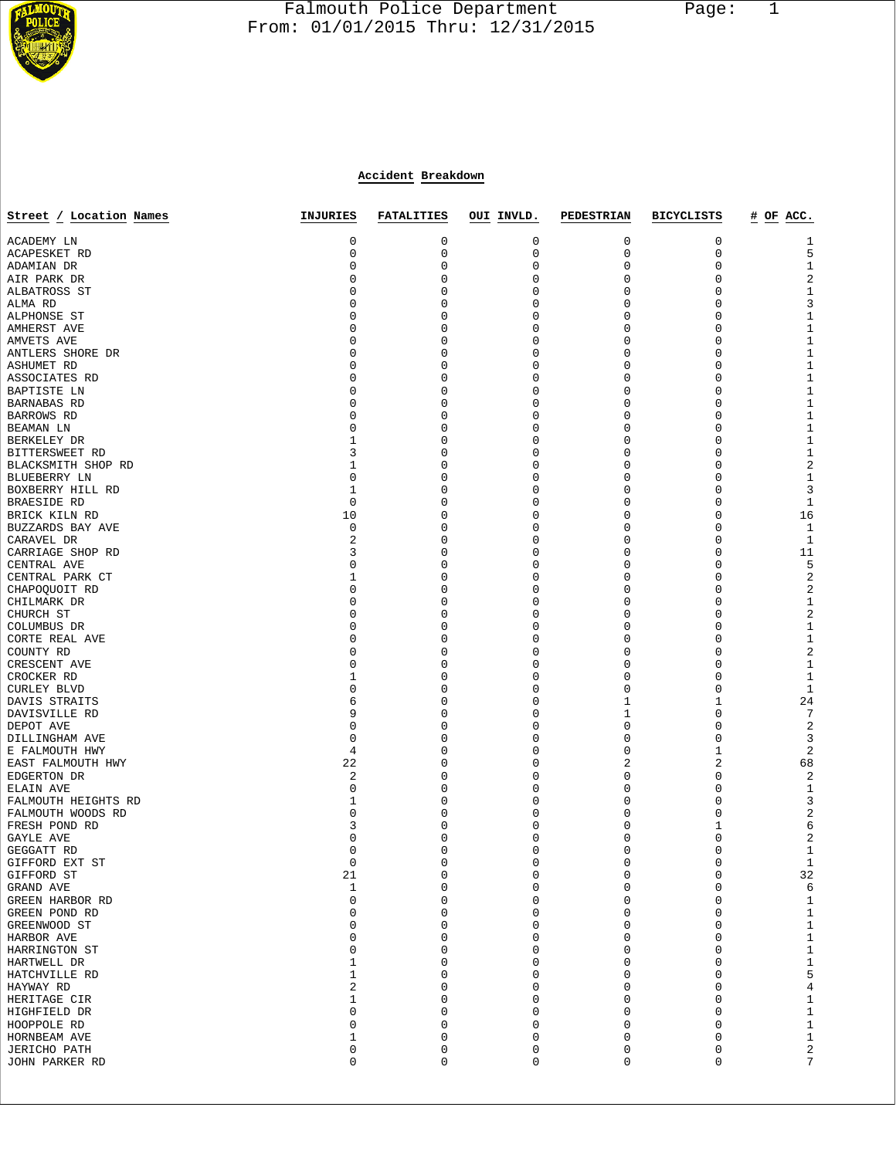

# Falmouth Police Department Page: 1  $\frac{1}{3}$  From: 01/01/2015 Thru: 12/31/2015

# **Accident Breakdown**

| Street / Location Names             | INJURIES         | <b>FATALITIES</b> | OUI INVLD.       | <b>PEDESTRIAN</b>          | <b>BICYCLISTS</b> | # OF ACC.               |
|-------------------------------------|------------------|-------------------|------------------|----------------------------|-------------------|-------------------------|
|                                     |                  |                   |                  |                            |                   |                         |
| ACADEMY LN<br><b>ACAPESKET RD</b>   | 0<br>0           | 0<br>0            | 0<br>0           | 0<br>0                     | 0<br>0            | 1<br>5                  |
| ADAMIAN DR                          | 0                | $\mathbf 0$       | 0                | 0                          | 0                 | $\mathbf{1}$            |
| AIR PARK DR                         | 0                | 0                 | 0                | 0                          | 0                 | $\sqrt{2}$              |
| ALBATROSS ST                        | 0                | 0                 | 0                | 0                          | 0                 | $1\,$                   |
| ALMA RD                             | 0                | 0                 | $\Omega$         | 0                          | 0                 | 3                       |
| ALPHONSE ST                         | 0                | 0                 | 0                | 0                          | 0                 | $\mathbf{1}$            |
| AMHERST AVE                         | 0                | 0                 | 0                | 0                          | 0                 | $\mathbf 1$             |
| AMVETS AVE                          | 0                | 0                 | $\Omega$         | 0                          | $\mathbf 0$       | $1\,$                   |
| ANTLERS SHORE DR                    | 0                | 0                 | 0                | 0                          | 0                 | $\mathbf{1}$            |
| ASHUMET RD                          | 0                | 0                 | 0                | 0                          | 0                 | $\mathbf 1$             |
| ASSOCIATES RD                       | $\mathbf 0$      | 0                 | $\Omega$         | 0                          | 0                 | $1\,$                   |
| BAPTISTE LN                         | 0                | 0                 | $\Omega$         | 0                          | 0                 | $\mathbf 1$             |
| <b>BARNABAS RD</b>                  | 0                | 0                 | 0                | 0                          | $\mathbf 0$       | $1\,$                   |
| BARROWS RD<br>BEAMAN LN             | 0<br>0           | 0<br>0            | 0<br>0           | 0<br>0                     | $\mathbf 0$<br>0  | $1\,$<br>$\mathbf{1}$   |
| BERKELEY DR                         | 1                | 0                 | 0                | 0                          | 0                 | $1\,$                   |
| BITTERSWEET RD                      | 3                | 0                 | $\Omega$         | 0                          | 0                 | $1\,$                   |
| BLACKSMITH SHOP RD                  | 1                | 0                 | $\Omega$         | 0                          | 0                 | $\overline{c}$          |
| BLUEBERRY LN                        | 0                | 0                 | 0                | 0                          | 0                 | $\mathbf{1}$            |
| BOXBERRY HILL RD                    | 1                | $\Omega$          | $\Omega$         | 0                          | $\mathbf 0$       | 3                       |
| <b>BRAESIDE RD</b>                  | $\mathbf 0$      | 0                 | 0                | 0                          | 0                 | $\mathbf{1}$            |
| BRICK KILN RD                       | 10               | 0                 | 0                | 0                          | 0                 | 16                      |
| BUZZARDS BAY AVE                    | 0                | 0                 | $\Omega$         | 0                          | 0                 | $\mathbf{1}$            |
| CARAVEL DR                          | 2                | 0                 | $\Omega$         | 0                          | 0                 | 1                       |
| CARRIAGE SHOP RD                    | 3                | 0                 | 0                | 0                          | $\mathbf 0$       | 11                      |
| CENTRAL AVE                         | $\mathbf 0$      | $\Omega$          | $\Omega$         | 0                          | $\mathbf 0$       | 5                       |
| CENTRAL PARK CT                     | 1<br>0           | 0<br>0            | $\Omega$<br>0    | 0<br>0                     | 0<br>0            | $\sqrt{2}$              |
| CHAPOQUOIT RD<br>CHILMARK DR        | $\mathbf 0$      | 0                 | $\Omega$         | 0                          | $\mathbf 0$       | $\sqrt{2}$<br>$1\,$     |
| CHURCH ST                           | 0                | 0                 | $\Omega$         | 0                          | 0                 | $\sqrt{2}$              |
| COLUMBUS DR                         | 0                | 0                 | 0                | 0                          | 0                 | $\mathbf{1}$            |
| CORTE REAL AVE                      | 0                | 0                 | $\Omega$         | 0                          | $\mathbf 0$       | $1\,$                   |
| COUNTY RD                           | 0                | 0                 | 0                | 0                          | 0                 | $\sqrt{2}$              |
| CRESCENT AVE                        | 0                | 0                 | 0                | 0                          | 0                 | $1\,$                   |
| CROCKER RD                          | 1                | 0                 | $\Omega$         | 0                          | 0                 | $\mathbf{1}$            |
| <b>CURLEY BLVD</b>                  | 0                | 0                 | 0                | 0                          | 0                 | 1                       |
| DAVIS STRAITS                       | 6                | 0                 | 0                | 1                          | 1                 | 24                      |
| DAVISVILLE RD                       | 9                | 0                 | 0                | 1                          | $\mathbf 0$       | 7                       |
| DEPOT AVE                           | 0                | 0                 | 0                | 0                          | 0                 | 2                       |
| DILLINGHAM AVE                      | 0<br>4           | 0<br>0            | 0<br>$\Omega$    | 0<br>0                     | 0<br>1            | 3<br>2                  |
| E FALMOUTH HWY<br>EAST FALMOUTH HWY | 22               | 0                 | 0                | 2                          | 2                 | 68                      |
| EDGERTON DR                         | 2                | 0                 | 0                | 0                          | 0                 | $\overline{c}$          |
| ELAIN AVE                           | 0                | $\Omega$          | $\Omega$         | 0                          | 0                 | $\mathbf{1}$            |
| FALMOUTH HEIGHTS RD                 | 1                | 0                 | 0                | 0                          | 0                 | 3                       |
| FALMOUTH WOODS RD                   | 0                | 0                 | 0                | 0                          | 0                 | 2                       |
| FRESH POND RD                       | 3                | 0                 | $\Omega$         | 0                          | 1                 | 6                       |
| GAYLE AVE                           | 0                | Ω                 | 0                | 0                          | 0                 | 2                       |
| GEGGATT RD                          | 0                | 0                 | 0                | 0                          | 0                 | $\mathbf{1}$            |
| GIFFORD EXT ST                      | $\Omega$         | $\Omega$          | $\Omega$         | $\mathbf 0$                | $\Omega$          | $1\,$                   |
| GIFFORD ST                          | 21               | 0                 | $\mathsf 0$      | 0                          | 0                 | 32                      |
| GRAND AVE<br>GREEN HARBOR RD        | $\mathbf 1$<br>0 | 0<br>0            | $\mathsf 0$<br>0 | 0<br>0                     | 0<br>$\mathbf 0$  | 6                       |
| GREEN POND RD                       | 0                | 0                 | 0                | 0                          | 0                 | $\mathbf{1}$            |
| GREENWOOD ST                        | 0                | $\mathbf 0$       | 0                | 0                          | 0                 | $\mathbf{1}$<br>$\,1$   |
| HARBOR AVE                          | 0                | 0                 | 0                | 0                          | $\mathbf 0$       | $\,1\,$                 |
| HARRINGTON ST                       | 0                | 0                 | 0                | 0                          | 0                 | $\,1\,$                 |
| HARTWELL DR                         | 1                | 0                 | 0                | 0                          | 0                 | $\mathbf 1$             |
| HATCHVILLE RD                       | 1                | $\mathbf 0$       | 0                | 0                          | 0                 | 5                       |
| HAYWAY RD                           | 2                | 0                 | 0                | 0                          | 0                 | $\overline{\mathbf{4}}$ |
| HERITAGE CIR                        | 1                | 0                 | 0                | 0                          | 0                 | $1\,$                   |
| HIGHFIELD DR                        | 0                | $\mathbf 0$       | 0                | 0                          | $\mathbf 0$       | $\mathbf 1$             |
| HOOPPOLE RD                         | 0                | 0                 | 0                | 0                          | 0                 | $\mathbf 1$             |
| HORNBEAM AVE                        | 1                | 0                 | 0                | 0                          | 0                 | $\,1$                   |
| <b>JERICHO PATH</b>                 | 0<br>0           | 0<br>0            | 0<br>0           | $\mathsf 0$<br>$\mathsf 0$ | 0<br>0            | $\overline{c}$<br>7     |
| JOHN PARKER RD                      |                  |                   |                  |                            |                   |                         |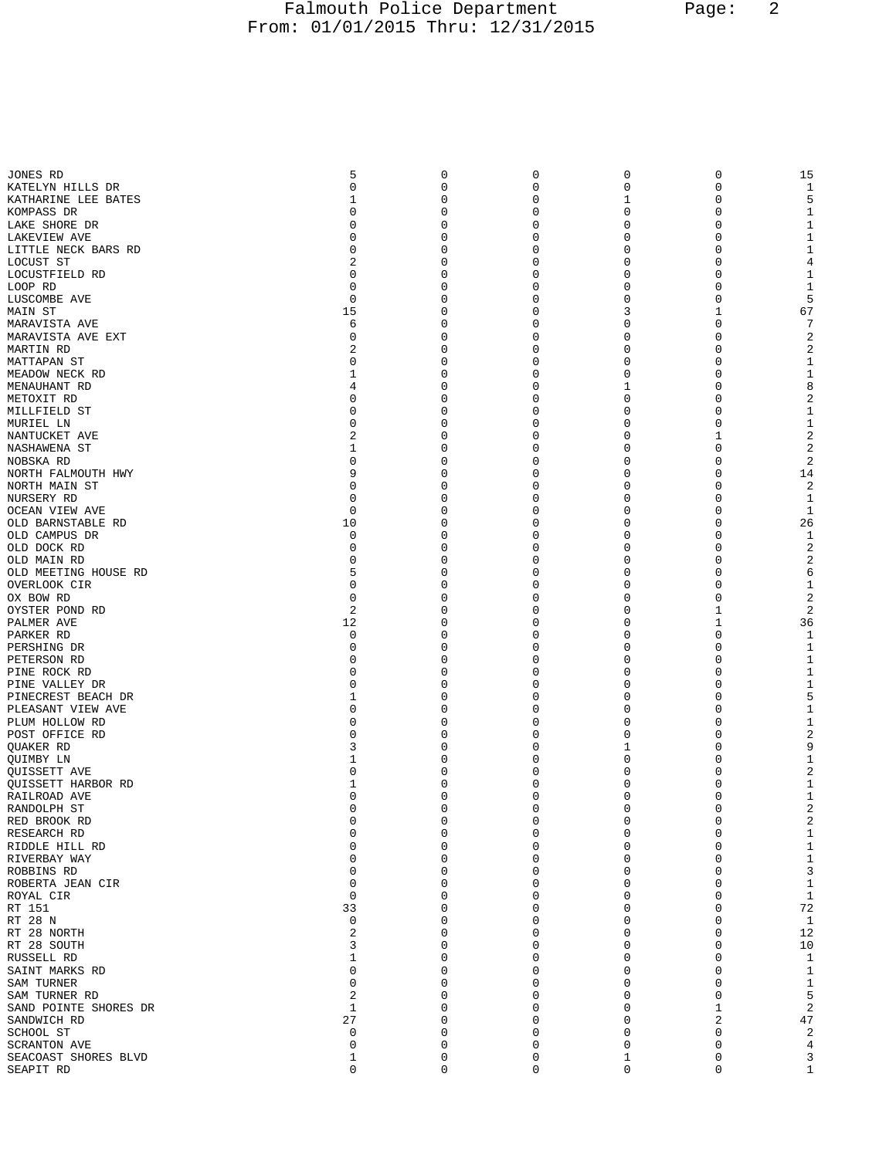# Falmouth Police Department Page: 2 From: 01/01/2015 Thru: 12/31/2015

| JONES RD                       | 5             | 0                | 0                | 0            | 0        | 15                  |
|--------------------------------|---------------|------------------|------------------|--------------|----------|---------------------|
| KATELYN HILLS DR               | 0             | $\mathbf 0$      | $\mathbf 0$      | 0            | 0        | 1                   |
| KATHARINE LEE BATES            |               | 0                | $\mathbf 0$      | $\mathbf{1}$ | 0        | 5                   |
| KOMPASS DR                     | 0             | 0                | 0                | 0            | 0        | 1                   |
| LAKE SHORE DR                  | O             | 0                | 0                | 0            | 0        | 1                   |
| LAKEVIEW AVE                   | 0             | 0                | $\mathbf 0$      | 0            | 0        | 1                   |
| LITTLE NECK BARS RD            | 0             | 0                | 0                | 0            | 0        | 1                   |
| LOCUST ST                      | 2             | 0                | 0                | 0            | 0        | 4                   |
| LOCUSTFIELD RD                 | $\Omega$      | $\Omega$         | 0                | 0            | 0        | 1                   |
| LOOP RD                        | 0             | 0                | 0                | 0            | 0        | 1                   |
| LUSCOMBE AVE                   | $\Omega$      | 0                | 0                | 0            | $\Omega$ | 5                   |
| MAIN ST                        | 15            | $\Omega$         | 0                | 3            | 1        | 67                  |
| MARAVISTA AVE                  | 6             | 0                | 0                | 0            | 0        | -7                  |
| MARAVISTA AVE EXT              | 0             | $\Omega$         | 0                | 0            | 0        | $\overline{a}$      |
| MARTIN RD                      | 2             | $\Omega$         | $\mathbf 0$      | 0            | 0        | $\overline{a}$      |
| MATTAPAN ST                    | 0             | 0                | 0                | 0            | 0        | 1                   |
| MEADOW NECK RD                 | 1             | 0                | 0                | 0            | 0        | 1                   |
| MENAUHANT RD                   | 4             | $\Omega$         | 0                | $\mathbf{1}$ | 0        | 8                   |
| METOXIT RD                     | 0             | 0                | 0                | 0            | 0        | 2                   |
| MILLFIELD ST                   | 0             | 0                | 0                | 0            | 0        | 1                   |
| MURIEL LN                      | $\Omega$      | $\Omega$         | 0                | 0            | 0        | $\mathbf{1}$        |
| NANTUCKET AVE                  | 2             | 0                | 0                | 0            | 1        | $\overline{a}$      |
| NASHAWENA ST                   | 1             | 0<br>$\Omega$    | 0                | 0            | 0        | $\overline{c}$      |
| NOBSKA RD                      | 0<br>9        |                  | 0                | 0            | 0        | $\overline{2}$      |
| NORTH FALMOUTH HWY             | 0             | 0<br>$\Omega$    | 0                | 0<br>0       | 0<br>0   | 14                  |
| NORTH MAIN ST                  | 0             | $\Omega$         | 0<br>$\mathbf 0$ | 0            | 0        | $\overline{a}$<br>1 |
| NURSERY RD                     | 0             | 0                | 0                | 0            | 0        | 1                   |
| OCEAN VIEW AVE                 | 10            | 0                | 0                | 0            | 0        | 26                  |
| OLD BARNSTABLE RD              | 0             | 0                | 0                | 0            | 0        | 1                   |
| OLD CAMPUS DR<br>OLD DOCK RD   | 0             | 0                | 0                | 0            | 0        | 2                   |
| OLD MAIN RD                    | O             | 0                | 0                | 0            | 0        | $\overline{a}$      |
| OLD MEETING HOUSE RD           | 5             | $\Omega$         | 0                | 0            | 0        | 6                   |
| OVERLOOK CIR                   | 0             | 0                | 0                | 0            | 0        | 1                   |
| OX BOW RD                      | O             | 0                | 0                | 0            | 0        | $\overline{c}$      |
| OYSTER POND RD                 | 2             | $\Omega$         | 0                | $\Omega$     | 1        | $\overline{2}$      |
| PALMER AVE                     | 12            | 0                | 0                | 0            | 1        | 36                  |
| PARKER RD                      | 0             | 0                | 0                | 0            | 0        | 1                   |
| PERSHING DR                    | $\Omega$      | $\Omega$         | $\mathbf 0$      | 0            | 0        | 1                   |
| PETERSON RD                    | 0             | 0                | 0                | 0            | 0        | 1                   |
| PINE ROCK RD                   | O             | 0                | 0                | 0            | 0        | 1                   |
| PINE VALLEY DR                 | O             | 0                | $\mathbf 0$      | 0            | 0        | 1                   |
| PINECREST BEACH DR             | 1             | 0                | 0                | 0            | 0        | 5                   |
| PLEASANT VIEW AVE              | 0             | 0                | 0                | 0            | 0        | 1                   |
| PLUM HOLLOW RD                 | O             | $\Omega$         | 0                | 0            | 0        | 1                   |
| POST OFFICE RD                 | O             | 0                | 0                | 0            | 0        | 2                   |
| <b>OUAKER RD</b>               | 3             | 0                | 0                | 1            | 0        | 9                   |
| OUIMBY LN                      | 1             | $\Omega$         | 0                | 0            | 0        | $\mathbf{1}$        |
| QUISSETT AVE                   | 0             | 0                | 0                | 0            | 0        | 2                   |
| QUISSETT HARBOR RD             |               | 0                | 0                | 0            | 0        | 1                   |
| RAILROAD AVE                   | 0             | 0                | $\mathbf 0$      | 0            | 0        | 1                   |
| RANDOLPH ST                    | <sup>0</sup>  | $\Omega$         | $\Omega$         | $\Omega$     | $\Omega$ | 2                   |
| RED BROOK RD                   | 0             | 0                | 0                | 0            | 0        |                     |
| RESEARCH RD                    | $\Omega$      | $\mathbf 0$      | $\mathbf 0$      | $\mathbf 0$  | 0        | 1                   |
| RIDDLE HILL RD                 | 0             | $\mathbf 0$      | 0                | 0            | 0        | 1                   |
| RIVERBAY WAY                   | 0<br>$\Omega$ | $\mathbf 0$<br>0 | 0                | 0<br>0       | 0<br>0   | 1                   |
| ROBBINS RD<br>ROBERTA JEAN CIR | $\Omega$      | $\mathbf 0$      | $\mathbf 0$<br>0 | 0            | 0        | 3<br>$\mathbf{1}$   |
| ROYAL CIR                      | $\Omega$      | $\mathbf 0$      | $\mathbf 0$      | 0            | 0        | 1                   |
| RT 151                         | 33            | 0                | $\mathbf 0$      | 0            | 0        | 72                  |
| RT 28 N                        | 0             | $\mathbf 0$      | 0                | 0            | 0        | 1                   |
| RT 28 NORTH                    | 2             | 0                | $\mathbf 0$      | 0            | 0        | 12                  |
| RT 28 SOUTH                    | 3             | 0                | $\mathbf 0$      | 0            | 0        | 10                  |
| RUSSELL RD                     | 1             | $\Omega$         | 0                | 0            | 0        | 1                   |
| SAINT MARKS RD                 | 0             | 0                | $\mathbf 0$      | 0            | 0        | $\mathbf{1}$        |
| SAM TURNER                     | $\Omega$      | $\mathbf 0$      | $\mathbf 0$      | 0            | 0        | $\mathbf{1}$        |
| SAM TURNER RD                  | 2             | 0                | 0                | 0            | 0        | 5                   |
| SAND POINTE SHORES DR          | 1             | 0                | $\mathbf 0$      | 0            | 1        | $\overline{a}$      |
| SANDWICH RD                    | 27            | $\Omega$         | $\mathbf 0$      | 0            | 2        | 47                  |
| SCHOOL ST                      | 0             | $\mathbf 0$      | 0                | 0            | 0        | $\overline{2}$      |
| SCRANTON AVE                   | 0             | $\mathbf 0$      | 0                | 0            | 0        | 4                   |
| SEACOAST SHORES BLVD           | 1             | $\mathbf 0$      | $\mathsf 0$      | 1            | 0        | 3                   |
| SEAPIT RD                      | 0             | 0                | $\mathbf 0$      | $\mathbf 0$  | 0        | $\mathbf{1}$        |